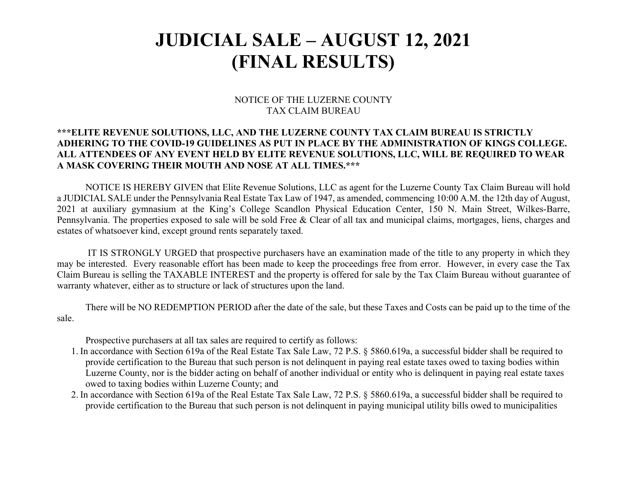## **JUDICIAL SALE – AUGUST 12, 2021 (FINAL RESULTS)**

## NOTICE OF THE LUZERNE COUNTY TAX CLAIM BUREAU

## **\*\*\*ELITE REVENUE SOLUTIONS, LLC, AND THE LUZERNE COUNTY TAX CLAIM BUREAU IS STRICTLY ADHERING TO THE COVID-19 GUIDELINES AS PUT IN PLACE BY THE ADMINISTRATION OF KINGS COLLEGE. ALL ATTENDEES OF ANY EVENT HELD BY ELITE REVENUE SOLUTIONS, LLC, WILL BE REQUIRED TO WEAR A MASK COVERING THEIR MOUTH AND NOSE AT ALL TIMES.\*\*\***

 NOTICE IS HEREBY GIVEN that Elite Revenue Solutions, LLC as agent for the Luzerne County Tax Claim Bureau will hold a JUDICIAL SALE under the Pennsylvania Real Estate Tax Law of 1947, as amended, commencing 10:00 A.M. the 12th day of August, 2021 at auxiliary gymnasium at the King's College Scandlon Physical Education Center, 150 N. Main Street, Wilkes-Barre, Pennsylvania. The properties exposed to sale will be sold Free & Clear of all tax and municipal claims, mortgages, liens, charges and estates of whatsoever kind, except ground rents separately taxed.

 IT IS STRONGLY URGED that prospective purchasers have an examination made of the title to any property in which they may be interested. Every reasonable effort has been made to keep the proceedings free from error. However, in every case the Tax Claim Bureau is selling the TAXABLE INTEREST and the property is offered for sale by the Tax Claim Bureau without guarantee of warranty whatever, either as to structure or lack of structures upon the land.

 There will be NO REDEMPTION PERIOD after the date of the sale, but these Taxes and Costs can be paid up to the time of the sale.

Prospective purchasers at all tax sales are required to certify as follows:

- 1. In accordance with Section 619a of the Real Estate Tax Sale Law, 72 P.S. § 5860.619a, a successful bidder shall be required to provide certification to the Bureau that such person is not delinquent in paying real estate taxes owed to taxing bodies within Luzerne County, nor is the bidder acting on behalf of another individual or entity who is delinquent in paying real estate taxes owed to taxing bodies within Luzerne County; and
- 2. In accordance with Section 619a of the Real Estate Tax Sale Law, 72 P.S. § 5860.619a, a successful bidder shall be required to provide certification to the Bureau that such person is not delinquent in paying municipal utility bills owed to municipalities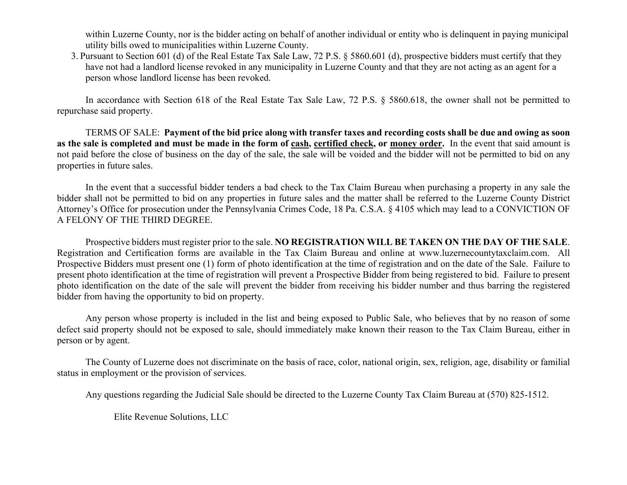within Luzerne County, nor is the bidder acting on behalf of another individual or entity who is delinquent in paying municipal utility bills owed to municipalities within Luzerne County.

3. Pursuant to Section 601 (d) of the Real Estate Tax Sale Law, 72 P.S. § 5860.601 (d), prospective bidders must certify that they have not had a landlord license revoked in any municipality in Luzerne County and that they are not acting as an agent for a person whose landlord license has been revoked.

In accordance with Section 618 of the Real Estate Tax Sale Law, 72 P.S. § 5860.618, the owner shall not be permitted to repurchase said property.

 TERMS OF SALE: **Payment of the bid price along with transfer taxes and recording costs shall be due and owing as soon as the sale is completed and must be made in the form of cash, certified check, or money order.** In the event that said amount is not paid before the close of business on the day of the sale, the sale will be voided and the bidder will not be permitted to bid on any properties in future sales.

In the event that a successful bidder tenders a bad check to the Tax Claim Bureau when purchasing a property in any sale the bidder shall not be permitted to bid on any properties in future sales and the matter shall be referred to the Luzerne County District Attorney's Office for prosecution under the Pennsylvania Crimes Code, 18 Pa. C.S.A. § 4105 which may lead to a CONVICTION OF A FELONY OF THE THIRD DEGREE.

Prospective bidders must register prior to the sale. **NO REGISTRATION WILL BE TAKEN ON THE DAY OF THE SALE**. Registration and Certification forms are available in the Tax Claim Bureau and online at www.luzernecountytaxclaim.com. All Prospective Bidders must present one (1) form of photo identification at the time of registration and on the date of the Sale. Failure to present photo identification at the time of registration will prevent a Prospective Bidder from being registered to bid. Failure to present photo identification on the date of the sale will prevent the bidder from receiving his bidder number and thus barring the registered bidder from having the opportunity to bid on property.

Any person whose property is included in the list and being exposed to Public Sale, who believes that by no reason of some defect said property should not be exposed to sale, should immediately make known their reason to the Tax Claim Bureau, either in person or by agent.

 The County of Luzerne does not discriminate on the basis of race, color, national origin, sex, religion, age, disability or familial status in employment or the provision of services.

Any questions regarding the Judicial Sale should be directed to the Luzerne County Tax Claim Bureau at (570) 825-1512.

Elite Revenue Solutions, LLC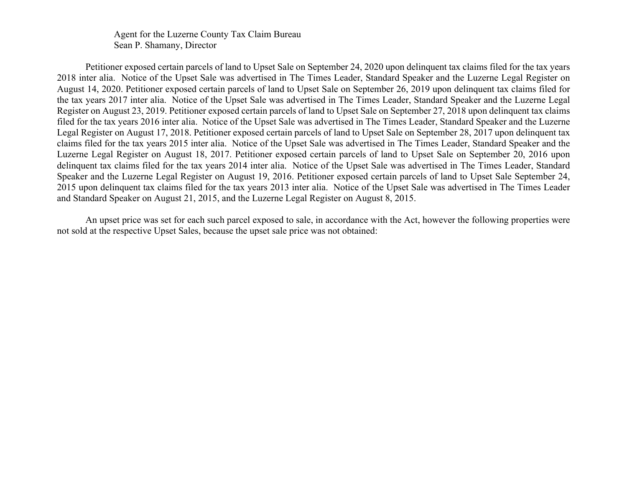Agent for the Luzerne County Tax Claim Bureau Sean P. Shamany, Director

Petitioner exposed certain parcels of land to Upset Sale on September 24, 2020 upon delinquent tax claims filed for the tax years 2018 inter alia. Notice of the Upset Sale was advertised in The Times Leader, Standard Speaker and the Luzerne Legal Register on August 14, 2020. Petitioner exposed certain parcels of land to Upset Sale on September 26, 2019 upon delinquent tax claims filed for the tax years 2017 inter alia. Notice of the Upset Sale was advertised in The Times Leader, Standard Speaker and the Luzerne Legal Register on August 23, 2019. Petitioner exposed certain parcels of land to Upset Sale on September 27, 2018 upon delinquent tax claims filed for the tax years 2016 inter alia. Notice of the Upset Sale was advertised in The Times Leader, Standard Speaker and the Luzerne Legal Register on August 17, 2018. Petitioner exposed certain parcels of land to Upset Sale on September 28, 2017 upon delinquent tax claims filed for the tax years 2015 inter alia. Notice of the Upset Sale was advertised in The Times Leader, Standard Speaker and the Luzerne Legal Register on August 18, 2017. Petitioner exposed certain parcels of land to Upset Sale on September 20, 2016 upon delinquent tax claims filed for the tax years 2014 inter alia. Notice of the Upset Sale was advertised in The Times Leader, Standard Speaker and the Luzerne Legal Register on August 19, 2016. Petitioner exposed certain parcels of land to Upset Sale September 24, 2015 upon delinquent tax claims filed for the tax years 2013 inter alia. Notice of the Upset Sale was advertised in The Times Leader and Standard Speaker on August 21, 2015, and the Luzerne Legal Register on August 8, 2015.

An upset price was set for each such parcel exposed to sale, in accordance with the Act, however the following properties were not sold at the respective Upset Sales, because the upset sale price was not obtained: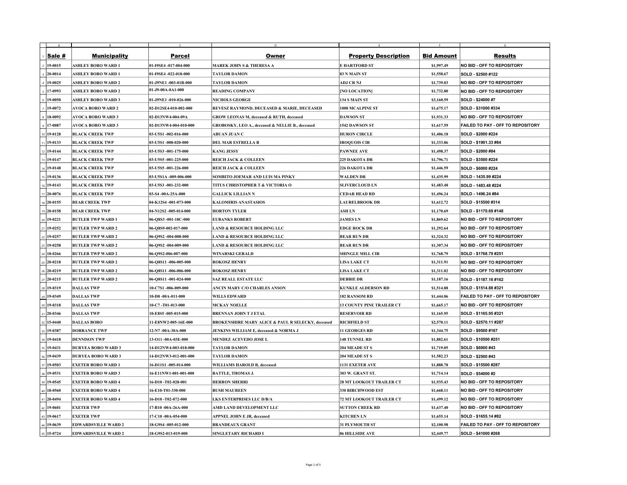|                                |                            |                               | D                                                            |                                  |                   | G                                        |
|--------------------------------|----------------------------|-------------------------------|--------------------------------------------------------------|----------------------------------|-------------------|------------------------------------------|
| Sale #                         | <b>Municipality</b>        | <b>Parcel</b>                 | <b>Owner</b>                                                 | <b>Property Description</b>      | <b>Bid Amount</b> | <b>Results</b>                           |
| $ 19-0015 $                    | <b>ASHLEY BORO WARD 1</b>  | 01-I9SE4 -017-004-000         | <b>MAREK JOHN S &amp; THERESA A</b>                          | <b>E HARTFORD ST</b>             | \$1,997.49        | <b>NO BID - OFF TO REPOSITORY</b>        |
| $ 20-0014$                     | <b>ASHLEY BORO WARD 1</b>  | 01-I9SE4 -022-018-000         | <b>TAYLOR DAMON</b>                                          | <b>83 N MAIN ST</b>              | \$1,558.67        | SOLD - \$2500 #122                       |
| $19 - 0025$                    | <b>ASHLEY BORO WARD 2</b>  | 01-J9NE1 -003-01B-000         | <b>TAYLOR DAMON</b>                                          | <b>ADJ CR NJ</b>                 | \$1,739.03        | <b>NO BID - OFF TO REPOSITORY</b>        |
| $17-0993$                      | <b>ASHLEY BORO WARD 2</b>  | 01-J9-00A-0A1-000             | <b>READING COMPANY</b>                                       | [NO LOCATION]                    | \$1,732.80        | <b>NO BID - OFF TO REPOSITORY</b>        |
| $6 19-0050 $                   | <b>ASHLEY BORO WARD 3</b>  | 01-J9NE1 -010-026-000         | <b>NICHOLS GEORGE</b>                                        | 134 S MAIN ST                    | \$3,160.59        | <b>SOLD - \$24000 #7</b>                 |
| $19 - 0072$                    | <b>AVOCA BORO WARD 2</b>   | 02-D12SE4-010-002-000         | <b>REVESZ RAYMOND, DECEASED &amp; MARIE, DECEASED</b>        | <b>1008 MCALPINE ST</b>          | \$1,675.17        | SOLD - \$31000 #334                      |
| $18 - 0092$                    | <b>AVOCA BORO WARD 3</b>   | 02-D13NW4-004-09A             | <b>GROW LEONAS M, deceased &amp; RUTH, deceased</b>          | <b>DAWSON ST</b>                 | \$1,931.33        | <b>NO BID - OFF TO REPOSITORY</b>        |
| $9 17-0087$                    | <b>AVOCA BORO WARD 3</b>   | 02-D13NW4-004-010-000         | <b>GROBOSKY, LEO A., deceased &amp; NELLIE B., deceased</b>  | <b>1542 DAWSON ST</b>            | \$1,617.59        | <b>FAILED TO PAY - OFF TO REPOSITORY</b> |
| 10 19-0128                     | <b>BLACK CREEK TWP</b>     | 03-U5S1 -002-016-000          | <b>ABUAN JUAN C</b>                                          | <b>HURON CIRCLE</b>              | \$1,406.18        | SOLD - \$2000 #224                       |
| $11$   19-0133                 | <b>BLACK CREEK TWP</b>     | 03-U5S1 -008-020-000          | <b>DEL MAR ESTRELLA B</b>                                    | <b>IROQUOIS CIR</b>              | \$1,333.86        | SOLD - \$1901.33 #84                     |
| 12 19-0144                     | <b>BLACK CREEK TWP</b>     | 03-U5S3 -001-175-000          | <b>KANG JESSY</b>                                            | <b>PAWNEE AVE</b>                | \$1,498.37        | <b>SOLD - \$2000 #84</b>                 |
| 13 19-0147                     | <b>BLACK CREEK TWP</b>     | 03-U5S5 -001-225-000          | <b>REICH JACK &amp; COLLEEN</b>                              | 225 DAKOTA DR                    | \$1,796.71        | SOLD - \$3500 #224                       |
| $14 \mid 19 - 0148$            | <b>BLACK CREEK TWP</b>     | $03 - U5S5 - 001 - 226 - 000$ | <b>REICH JACK &amp; COLLEEN</b>                              | 226 DAKOTA DR                    | \$1,446.59        | <b>SOLD - \$6000 #224</b>                |
| $15 19-0136 $                  | <b>BLACK CREEK TWP</b>     | 03-U5S1A -009-006-000         | SOMBITO JOEMAR AND LUIS MA PINKY                             | <b>WALDEN DR</b>                 | \$1,435.99        | SOLD - 1435.99 #224                      |
| $16 19-0143 $                  | <b>BLACK CREEK TWP</b>     | 03-U5S3 -001-232-000          | <b>TITUS CHRISTOPHER T &amp; VICTORIA O</b>                  | <b>SLIVERCLOUD LN</b>            | \$1,483.48        | SOLD - 1483.48 #224                      |
| $17 20-0076$                   | <b>BLACK CREEK TWP</b>     | $03-S4 - 00A - 25A - 000$     | <b>GALLICK LILLIAN N</b>                                     | <b>CEDAR HEAD RD</b>             | \$1,496.24        | SOLD - 1496.24 #84                       |
| $18\vert 20-0155$              | <b>BEAR CREEK TWP</b>      | 04-K12S4 -001-073-000         | <b>KALOMIRIS ANASTASIOS</b>                                  | <b>LAURELBROOK DR</b>            | \$1,612.72        | SOLD - \$15500 #314                      |
| $19 20-0158$                   | <b>BEAR CREEK TWP</b>      | $04-N12S2 - 005 - 014 - 000$  | <b>HORTON TYLER</b>                                          | <b>ASH LN</b>                    | \$1,170.69        | SOLD - \$1170.69 #148                    |
| $20 19-0221 $                  | <b>BUTLER TWP WARD 1</b>   | 06-Q8S3 -001-18C-000          | <b>EUBANKS ROBERT</b>                                        | <b>JAMES LN</b>                  | \$1,869.62        | <b>NO BID - OFF TO REPOSITORY</b>        |
| $21 \, 19 - 0252$              | <b>BUTLER TWP WARD 2</b>   | 06-Q8S9-002-017-000           | <b>LAND &amp; RESOURCE HOLDING LLC</b>                       | <b>EDGE ROCK DR</b>              | \$1,292.64        | <b>NO BID - OFF TO REPOSITORY</b>        |
| $22 19-0257 $                  | <b>BUTLER TWP WARD 2</b>   | 06-Q9S2 -004-008-000          | <b>LAND &amp; RESOURCE HOLDING LLC</b>                       | <b>BEAR RUN DR</b>               | \$1,324.32        | <b>NO BID - OFF TO REPOSITORY</b>        |
| $23 19-0258 $                  | <b>BUTLER TWP WARD 2</b>   | 06-Q9S2 -004-009-000          | <b>LAND &amp; RESOURCE HOLDING LLC</b>                       | <b>BEAR RUN DR</b>               | \$1,307.34        | <b>NO BID - OFF TO REPOSITORY</b>        |
| $24 \, 18 - 0266$              | <b>BUTLER TWP WARD 2</b>   | 06-Q9S2-006-007-000           | <b>WINARSKI GERALD</b>                                       | <b>SHINGLE MILL CIR</b>          | \$1,768.79        | SOLD - \$1768.79 #251                    |
| $25 \,   \, 20 - 0218 \,   \,$ | <b>BUTLER TWP WARD 2</b>   | 06-Q8S11-006-005-000          | <b>ROKOSZ HENRY</b>                                          | <b>LISA LAKE CT</b>              | \$1,311.91        | <b>NO BID - OFF TO REPOSITORY</b>        |
| $26 \,   \, 20 - 0219 \,   \,$ | <b>BUTLER TWP WARD 2</b>   | 06-Q8S11 -006-006-000         | <b>ROKOSZ HENRY</b>                                          | <b>LISA LAKE CT</b>              | \$1,311.02        | <b>NO BID - OFF TO REPOSITORY</b>        |
| $ 27 20-0215$                  | <b>BUTLER TWP WARD 2</b>   | 06-Q8S11 -001-024-000         | <b>SAZ REALL ESTATE LLC</b>                                  | <b>DEBBIE DR</b>                 | \$1,187.16        | SOLD - \$1187.16 #162                    |
| $28 19-0319 $                  | <b>DALLAS TWP</b>          | 10-C7S1 -006-009-000          | <b>ANCIN MARY C/O CHARLES ANSON</b>                          | <b>KUNKLE ALDERSON RD</b>        | \$1,514.88        | SOLD - \$1514.88 #321                    |
| $129 19-0349$                  | <b>DALLAS TWP</b>          | $10-D8 - 00A - 011 - 000$     | <b>WILLS EDWARD</b>                                          | <b>182 RANSOM RD</b>             | \$1,444.06        | <b>FAILED TO PAY - OFF TO REPOSITORY</b> |
| $130 19-0318$                  | <b>DALLAS TWP</b>          | $10 - C7 - T01 - 013 - 000$   | <b>MCKAY NOELLE</b>                                          | <b>13 COUNTY PINE TRAILER CT</b> | \$1,665.17        | <b>NO BID - OFF TO REPOSITORY</b>        |
| $31 \,   \, 20 - 0346 \,   \,$ | <b>DALLAS TWP</b>          | 10-E8S5-005-015-000           | <b>BRENNAN JOHN T J ETAL</b>                                 | <b>RESERVOIR RD</b>              | \$1,165.95        | SOLD - \$1165.95 #321                    |
| $32 15-0440 $                  | <b>DALLAS BORO</b>         | 11-E8NW2-005-16E-000          | <b>BROKENSHIRE MARY ALICE &amp; PAUL R SELECKY, deceased</b> | <b>RICHFIELD ST</b>              | \$2,570.11        | SOLD - \$2570.11 #287                    |
| 33 19-0387                     | <b>DORRANCE TWP</b>        | $12-N7 - 00A - 30A - 000$     | <b>JENKINS WILLIAM E, deceased &amp; NORMA J</b>             | <b>11 GEORGES RD</b>             | \$1,344.75        | SOLD - \$9500 #167                       |
| $34 19-0418$                   | <b>DENNISON TWP</b>        | 13-011 -00A-03E-000           | <b>MENDEZ ACEVEDO JOSE L</b>                                 | <b>148 TUNNEL RD</b>             | \$1,882.61        | SOLD - \$10500 #251                      |
| $35 19-0431 $                  | <b>DURYEA BORO WARD 3</b>  | 14-D12NW4-003-018-000         | <b>TAYLOR DAMON</b>                                          | <b>204 MEADE ST S</b>            | \$1,719.05        | SOLD - \$6000 #43                        |
| $19-0439$                      | <b>DURYEA BORO WARD 3</b>  | 14-D12NW3-012-001-000         | <b>TAYLOR DAMON</b>                                          | <b>204 MEADE ST S</b>            | \$1,582.23        | SOLD - \$2500 #43                        |
| $37 19-0503 $                  | <b>EXETER BORO WARD 1</b>  | 16-D11S1 -005-014-000         | <b>WILLIAMS HAROLD R, deceased</b>                           | <b>1131 EXETER AVE</b>           | \$1,888.78        | SOLD - \$15500 #287                      |
| $38 19-0531 $                  | <b>EXETER BORO WARD 3</b>  | 16-E11NW1-001-001-000         | <b>BATTLE, THOMAS J.</b>                                     | 303 W. GRANT ST.                 | \$1,714.14        | SOLD - \$54000 #2                        |
| $19-0545$                      | <b>EXETER BORO WARD 4</b>  | 16-D10-T02-028-001            | <b>HERRON SHERRI</b>                                         | <b>28 MT LOOKOUT TRAILER CT</b>  | \$1,935.43        | <b>NO BID - OFF TO REPOSITORY</b>        |
| $40 \,   18 - 0560$            | <b>EXETER BORO WARD 4</b>  | 16-E10-T01-330-000            | <b>BUSH MAUREEN</b>                                          | <b>330 BIRCHWOOD EST</b>         | \$1,668.11        | <b>NO BID - OFF TO REPOSITORY</b>        |
| $41 \,   \, 20 - 0494 \,   \,$ | <b>EXETER BORO WARD 4</b>  | $16-D10 - T02-072-000$        | <b>LKS ENTERPRISES LLC D/B/A</b>                             | <b>72 MT LOOKOUT TRAILER CT</b>  | \$1,499.12        | <b>NO BID - OFF TO REPOSITORY</b>        |
| $42 19-0601$                   | <b>EXETER TWP</b>          | 17-B10 -00A-26A-000           | AMD LAND DEVELOPMENT LLC                                     | <b>SUTTON CREEK RD</b>           | \$1,637.40        | <b>NO BID - OFF TO REPOSITORY</b>        |
| $43 \mid 19 - 0617$            | <b>EXETER TWP</b>          | $17 - C10 - 00A - 054 - 000$  | <b>APPNEL JOHN E JR, deceased</b>                            | <b>KITCHEN LN</b>                | \$1,655.14        | SOLD - \$1655.14 #82                     |
|                                |                            |                               |                                                              |                                  |                   |                                          |
| $ 44 19-0639$                  | <b>EDWARDSVILLE WARD 2</b> | 18-G9S4 -005-012-000          | <b>BRANDEAUX GRANT</b>                                       | <b>31 PLYMOUTH ST</b>            | \$2,100.98        | <b>FAILED TO PAY - OFF TO REPOSITORY</b> |
| $ 45 15-0724$                  | <b>EDWARDSVILLE WARD 2</b> | 18-G9S2-013-019-000           | <b>SINGLETARY RICHARD I</b>                                  | <b>86 HILLSIDE AVE</b>           | \$2,449.77        | SOLD - \$41000 #268                      |

,,,,,,,,,,,,,,,,,,,,,, --------------------------------------------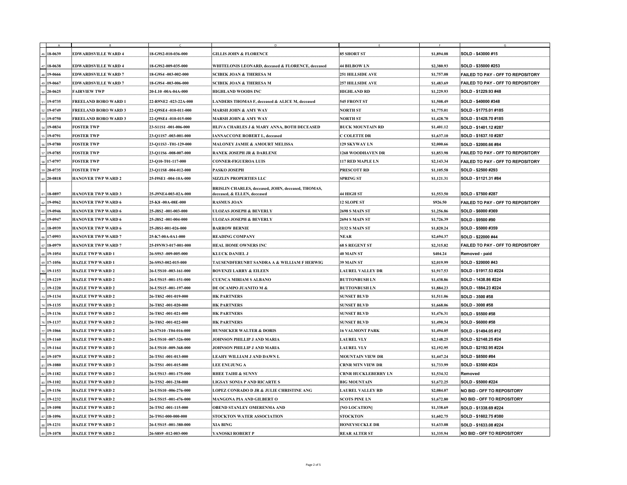|                        |                             |                                  | D<br><b>GILLIS JOHN &amp; FLORENCE</b>                                                   |                            | $\Gamma$   | G                                        |
|------------------------|-----------------------------|----------------------------------|------------------------------------------------------------------------------------------|----------------------------|------------|------------------------------------------|
| $18-0639$              | <b>EDWARDSVILLE WARD 4</b>  | 18-G9S2-010-036-000              |                                                                                          | <b>85 SHORT ST</b>         | \$1,894.08 | SOLD - \$43000 #15                       |
| $ 47 18-0638$          | <b>EDWARDSVILLE WARD 4</b>  | 18-G9S2-009-035-000              | WHITELONIS LEONARD, deceased & FLORENCE, deceased                                        | 44 BILBOW LN               | \$2,380.93 | SOLD - \$35000 #253                      |
| $ 48 $ 19-0666         | <b>EDWARDSVILLE WARD 7</b>  | 18-G9S4 -003-002-000             | <b>SCIBEK JOAN &amp; THERESA M</b>                                                       | <b>251 HILLSIDE AVE</b>    | \$1,757.08 | <b>FAILED TO PAY - OFF TO REPOSITORY</b> |
| 49 19 - 0667           | <b>EDWARDSVILLE WARD 7</b>  | 18-G9S4 -003-006-000             | <b>SCIBEK JOAN &amp; THERESA M</b>                                                       | <b>257 HILLSIDE AVE</b>    | \$1,483.69 | <b>FAILED TO PAY - OFF TO REPOSITORY</b> |
| $\frac{50}{20} -0625$  | <b>FAIRVIEW TWP</b>         | 20-L10 -00A-04A-000              | <b>HIGHLAND WOODS INC</b>                                                                | <b>HIGHLAND RD</b>         | \$1,229.93 | SOLD - \$1229.93 #48                     |
| $51 19-0735$           | <b>FREELAND BORO WARD 1</b> | 22-R9NE2 -023-22A-000            | LANDERS THOMAS F, deceased & ALICE M, deceased                                           | <b>545 FRONT ST</b>        | \$1,508.49 | SOLD - \$40000 #348                      |
| $52 19-0749$           | <b>FREELAND BORO WARD 3</b> | 22-Q9SE4 -010-011-000            | <b>MARSH JOHN &amp; AMY WAY</b>                                                          | <b>NORTH ST</b>            | \$1,775.01 | SOLD - \$1775.01 #185                    |
| $153$   19-0750        | <b>FREELAND BORO WARD 3</b> | 22-Q9SE4 -010-015-000            | <b>MARSH JOHN &amp; AMY WAY</b>                                                          | <b>NORTH ST</b>            | \$1,428.70 | SOLD - \$1428.70 #185                    |
| $54 19-0834$           | <b>FOSTER TWP</b>           | 23-S11S1 -001-006-000            | HLIVA CHARLES J & MARY ANNA, BOTH DECEASED                                               | <b>BUCK MOUNTAIN RD</b>    | \$1,401.12 | SOLD - \$1401.12 #287                    |
| $55 19-0791 $          | <b>FOSTER TWP</b>           | 23-Q11S7 -003-001-000            | <b>IANNACCONE ROBERT L, deceased</b>                                                     | <b>C COLETTE DR</b>        | \$1,637.10 | SOLD - \$1637.10 #287                    |
| 56 19-0780             | <b>FOSTER TWP</b>           | 23-Q11S3 -T01-129-000            | <b>MALONEY JAMIE &amp; AMOURT MELISSA</b>                                                | <b>129 SKYWAY LN</b>       | \$2,000.66 | SOLD - \$2000.66 #84                     |
| $57 19-0785$           | <b>FOSTER TWP</b>           | $ 23 - Q11S6 - 008 - 007 - 000 $ | <b>RANEK JOSEPH JR &amp; DARLENE</b>                                                     | <b>1268 WOODHAVEN DR</b>   | \$1,853.98 | <b>FAILED TO PAY - OFF TO REPOSITORY</b> |
| $58 17-0797$           | <b>FOSTER TWP</b>           | $ 23-Q10-T01-117-000 $           | <b>CONNER-FIGUEROA LUIS</b>                                                              | <b>117 RED MAPLE LN</b>    | \$2,143.34 | <b>FAILED TO PAY - OFF TO REPOSITORY</b> |
| $ 59 20-0735$          | <b>FOSTER TWP</b>           | $ 23-Q11S8 - 004 - 012 - 000 $   | <b>PASKO JOSEPH</b>                                                                      | <b>PRESCOTT RD</b>         | \$1,105.58 | SOLD - \$2500 #293                       |
| $60 \,   \, 20 - 0818$ | <b>HANOVER TWP WARD 2</b>   | 25-I9SE1 -004-10A-000            | <b>SIZZLIN PROPERTIES LLC</b>                                                            | <b>SPRING ST</b>           | \$1,121.31 | SOLD - \$1121.31 #84                     |
| $61 \, 18 - 0897$      | <b>HANOVER TWP WARD 3</b>   | 25-J9NE4-003-02A-000             | <b>BRISLIN CHARLES, deceased, JOHN, deceased, THOMAS,</b><br>deceased, & ELLEN, deceased | 44 HIGH ST                 | \$1,553.50 | SOLD - \$7500 #287                       |
| $162$   19-0962        | <b>HANOVER TWP WARD 6</b>   | 25-K8-00A-08E-000                | <b>RASMUS JOAN</b>                                                                       | <b>12 SLOPE ST</b>         | \$926.50   | <b>FAILED TO PAY - OFF TO REPOSITORY</b> |
| $63 19-0946 $          | <b>HANOVER TWP WARD 6</b>   | 25-J8S2 -001-003-000             | ULOZAS JOSEPH & BEVERLY                                                                  | <b>2698 S MAIN ST</b>      | \$1,256.86 | SOLD - \$6000 #369                       |
| $64 19-0947 $          | <b>HANOVER TWP WARD 6</b>   | $25 - J8S2 - 001 - 004 - 000$    | ULOZAS JOSEPH & BEVERLY                                                                  | <b>2694 S MAIN ST</b>      | \$1,726.39 | SOLD - \$9500 #90                        |
| $65 \, 18 - 0939$      | <b>HANOVER TWP WARD 6</b>   | 25-J8S1-001-026-000              | <b>BARROW BERNIE</b>                                                                     | <b>3132 S MAIN ST</b>      | \$1,820.24 | SOLD - \$5000 #359                       |
| $166$   17-0993        | <b>HANOVER TWP WARD 7</b>   | 25-K7-00A-0A1-000                | <b>READING COMPANY</b>                                                                   | <b>NEAR</b>                | \$2,694.37 | SOLD - \$22000 #44                       |
| $ 67 18-0979$          | <b>HANOVER TWP WARD 7</b>   | 25-I9NW3-017-001-000             | <b>HEAL HOME OWNERS INC</b>                                                              | <b>68 S REGENT ST</b>      | \$2,315.82 | <b>FAILED TO PAY - OFF TO REPOSITORY</b> |
| 68 19-1054             | <b>HAZLE TWP WARD 1</b>     | 26-S9S3 -009-005-000             | <b>KLUCK DANIEL J</b>                                                                    | 40 MAIN ST                 | \$404.24   | Removed - paid                           |
| $\frac{169}{17-1056}$  | <b>HAZLE TWP WARD 1</b>     | 26-S9S3-002-015-000              | <b>TAUSENDFERUNBT SANDRA A &amp; WILLIAM F HERWIG</b>                                    | <b>39 MAIN ST</b>          | \$2,019.99 | SOLD - \$20000 #43                       |
| $70 19-1153$           | <b>HAZLE TWP WARD 2</b>     | 26-U5S10 -003-161-000            | <b>BOVENZI LARRY &amp; EILEEN</b>                                                        | <b>LAUREL VALLEY DR</b>    | \$1,917.53 | SOLD - \$1917.53 #224                    |
| $171$   19-1219        | <b>HAZLE TWP WARD 2</b>     | 26-U5S15 -001-151-000            | <b>CUENCA MIRIAM S ALBANO</b>                                                            | <b>BUTTONBUSH LN</b>       | \$1,438.86 | SOLD - 1438.86 #224                      |
| 72 19-1220             | <b>HAZLE TWP WARD 2</b>     | 26-U5S15 -001-197-000            | DE OCAMPO JUANITO M &                                                                    | <b>BUTTONBUSH LN</b>       | \$1,884.23 | SOLD - 1884.23 #224                      |
| $73 19-1134 $          | <b>HAZLE TWP WARD 2</b>     | 26-T8S2 -001-019-000             | <b>HK PARTNERS</b>                                                                       | <b>SUNSET BLVD</b>         | \$1,511.06 | <b>SOLD - 3500 #58</b>                   |
| $74 19-1135 $          | <b>HAZLE TWP WARD 2</b>     | 26-T8S2 -001-020-000             | <b>HK PARTNERS</b>                                                                       | <b>SUNSET BLVD</b>         | \$1,668.06 | SOLD - 3000 #58                          |
| $175$ 19-1136          | <b>HAZLE TWP WARD 2</b>     | 26-T8S2 -001-021-000             | <b>HK PARTNERS</b>                                                                       | <b>SUNSET BLVD</b>         | \$1,476.31 | SOLD - \$5500 #58                        |
| 76 19-1137             | <b>HAZLE TWP WARD 2</b>     | 26-T8S2 -001-022-000             | <b>HK PARTNERS</b>                                                                       | <b>SUNSET BLVD</b>         | \$1,490.34 | <b>SOLD - \$6000 #58</b>                 |
| 77 19-1066             | <b>HAZLE TWP WARD 2</b>     | 26-S7S10 -T04-016-000            | <b>HUNSICKER WALTER &amp; DORIS</b>                                                      | <b>16 VALMONT PARK</b>     | \$1,494.05 | SOLD - \$1494.05 #12                     |
| 78 19-1160             | <b>HAZLE TWP WARD 2</b>     | 26-U5S10 -007-326-000            | <b>JOHNSON PHILLIP J AND MARIA</b>                                                       | <b>LAUREL VLY</b>          | \$2,148.25 | SOLD - \$2148.25 #24                     |
| 79 19-1164             | <b>HAZLE TWP WARD 2</b>     | 26-U5S10 -009-368-000            | <b>JOHNSON PHILLIP J AND MARIA</b>                                                       | <b>LAUREL VLY</b>          | \$2,192.95 | SOLD - \$2192.95 #224                    |
| $80 19-1079 $          | <b>HAZLE TWP WARD 2</b>     | 26-T5S1 -001-013-000             | LEAHY WILLIAM J AND DAWN L                                                               | <b>MOUNTAIN VIEW DR</b>    | \$1,447.24 | SOLD - \$8500 #84                        |
| 81 19-1080             | <b>HAZLE TWP WARD 2</b>     | 26-T5S1 -001-015-000             | <b>LEE ENUJUNG A</b>                                                                     | <b>CRNR MTN VIEW DR</b>    | \$1,733.99 | <b>SOLD - \$3500 #224</b>                |
| $82$ 19-1182           | <b>HAZLE TWP WARD 2</b>     | 26-U5S13 -001-175-000            | <b>RHEE TAIHI &amp; SUNNY</b>                                                            | <b>CRNR HUCKLEBERRY LN</b> | \$1,534.32 | Removed                                  |
| $ 83 19-1102$          | <b>HAZLE TWP WARD 2</b>     | 26-T5S2 -001-238-000             | LIGSAY SONIA P AND RICARTE S                                                             | <b>BIG MOUNTAIN</b>        | \$1,672.25 | <b>SOLD - \$5000 #224</b>                |
| $84 19-1156 $          | <b>HAZLE TWP WARD 2</b>     | <b>26-U5S10 -006-276-000</b>     | <b>LOPEZ CONRADO D JR &amp; JULIE CHRISTINE ANG</b>                                      | <b>LAUREL VALLEY RD</b>    | \$2,084.07 | <b>NO BID - OFF TO REPOSITORY</b>        |
| $85 19-1232 $          | <b>HAZLE TWP WARD 2</b>     | 26-U5S15 -001-476-000            | <b>MANGONA PIA AND GILBERT O</b>                                                         | <b>SCOTS PINE LN</b>       | \$1,672.80 | <b>NO BID - OFF TO REPOSITORY</b>        |
| 86 19-1098             | <b>HAZLE TWP WARD 2</b>     | 26-T5S2 -001-115-000             | <b>OBEND STANLEY OMERENMA AND</b>                                                        | [NO LOCATION]              | \$1,338.69 | SOLD - \$1338.69 #224                    |
| 87 18-1096             | <b>HAZLE TWP WARD 2</b>     | 26-T9S1-000-000-000              | <b>STOCKTON WATER ASSOCIATION</b>                                                        | <b>STOCKTON</b>            | \$1,602.75 | SOLD - \$1602.75 #380                    |
| $ 88 19-1231$          | <b>HAZLE TWP WARD 2</b>     | 26-U5S15 -001-380-000            | XIA BING                                                                                 | <b>HONEYSUCKLE DR</b>      | \$1,633.08 | SOLD - \$1633.08 #224                    |
| $89 19-1078$           | <b>HAZLE TWP WARD 2</b>     | $ 26 - S8S9 - 012 - 003 - 000 $  | YANOSKI ROBERT P                                                                         | <b>REAR ALTER ST</b>       | \$1,335.94 | <b>NO BID - OFF TO REPOSITORY</b>        |

,,,,,,,,,,,,,,,,,,,,,,, -------------------------------\_\_\_\_\_\_\_\_\_\_ -----------------------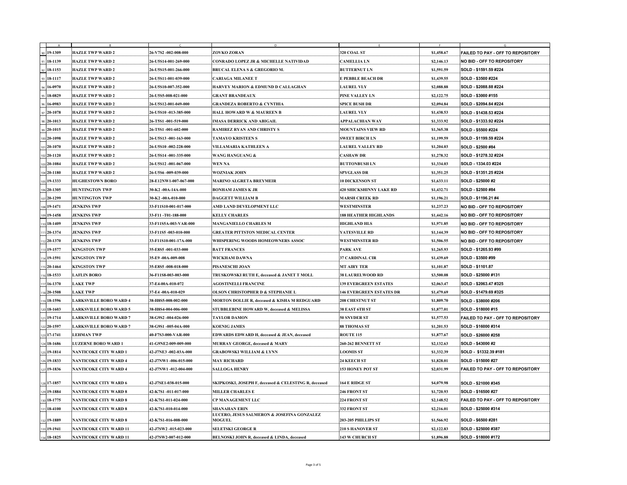|                                    |                                                       |                                                      | D                                                                |                                     |                          | G                                                              |
|------------------------------------|-------------------------------------------------------|------------------------------------------------------|------------------------------------------------------------------|-------------------------------------|--------------------------|----------------------------------------------------------------|
| $ 90 19-1309$                      | <b>HAZLE TWP WARD 2</b>                               | 26-V7S2 -002-008-000                                 | <b>ZOVKO ZORAN</b>                                               | 320 COAL ST                         | \$1,458.67               | <b>FAILED TO PAY - OFF TO REPOSITORY</b>                       |
| $91 \mid 18 - 1139$                | <b>HAZLE TWP WARD 2</b>                               | 26-U5S14-001-269-000                                 | <b>CONRADO LOPEZ JR &amp; MICHELLE NATIVIDAD</b>                 | <b>CAMELLIA LN</b>                  | \$2,146.13               | <b>NO BID - OFF TO REPOSITORY</b>                              |
| $92 18-1153$                       | <b>HAZLE TWP WARD 2</b>                               | 26-U5S15-001-266-000                                 | <b>BRUCAL ELENA S &amp; GREGORIO M.</b>                          | <b>BUTTERNUT LN</b>                 | \$1,591.59               | SOLD - \$1591.59 #224                                          |
| $93 18-1117$                       | <b>HAZLE TWP WARD 2</b>                               | 26-U5S11-001-039-000                                 | <b>CARIAGA MILANEE T</b>                                         | <b>E PEBBLE BEACH DR</b>            | \$1,439.55               | SOLD - \$3500 #224                                             |
| $94 16-0970 $                      | <b>HAZLE TWP WARD 2</b>                               | 26-U5S10-007-352-000                                 | <b>HARVEY MARION &amp; EDMUND D CALLAGHAN</b>                    | <b>LAUREL VLY</b>                   | \$2,088.88               | SOLD - \$2088.88 #224                                          |
| $95 18-0829$                       | <b>HAZLE TWP WARD 2</b>                               | 26-U5S5-008-021-000                                  | <b>GRANT BRANDEAUX</b>                                           | PINE VALLEY LN                      | \$2,122.75               | SOLD - \$3000 #155                                             |
| $96 16-0983$                       | <b>HAZLE TWP WARD 2</b>                               | 26-U5S12-001-049-000                                 | <b>GRANDEZA ROBERTO &amp; CYNTHIA</b>                            | <b>SPICE BUSH DR</b>                | \$2,094.84               | SOLD - \$2094.84 #224                                          |
| $97 \,   \, 20 - 1078 \,   \,$     | <b>HAZLE TWP WARD 2</b>                               | 26-U5S10 -013-385-000                                | <b>HALL HOWARD W &amp; MAUREEN B</b>                             | <b>LAUREL VLY</b>                   | \$1,438.53               | SOLD - \$1438.53 #224                                          |
| $ 98 20-1013$                      | <b>HAZLE TWP WARD 2</b>                               | 26-T5S1 -001-519-000                                 | <b>IMASA DERRICK AND ABIGAIL</b>                                 | <b>APPALACHIAN WAY</b>              | \$1,333.92               | SOLD - \$1333.92 #224                                          |
| $99 \mid 20-1015$                  | <b>HAZLE TWP WARD 2</b>                               | 26-T5S1 -001-602-000                                 | <b>RAMIREZ RYAN AND CHRISTY S</b>                                | <b>MOUNTAINS VIEW RD</b>            | \$1,365.38               | <b>SOLD - \$5500 #224</b>                                      |
| $100$ 20-1098                      | <b>HAZLE TWP WARD 2</b>                               | $26$ -U5S13 -001-163-000                             | <b>TAMAYO KRISTEEN S</b>                                         | <b>SWEET BIRCH LN</b>               | \$1,199.59               | SOLD - \$1199.59 #224                                          |
| $101$ 20-1070                      | <b>HAZLE TWP WARD 2</b>                               | <b>26-U5S10 -002-228-000</b>                         | VILLAMARIA KATHLEEN A                                            | <b>LAUREL VALLEY RD</b>             | \$1,204.03               | SOLD - \$2500 #84                                              |
| $102$ 20-1120                      | <b>HAZLE TWP WARD 2</b>                               | 26-U5S14 -001-335-000                                | <b>WANG HANGUANG &amp;</b>                                       | <b>CASHAW DR</b>                    | \$1,278.32               | SOLD - \$1278.32 #224                                          |
| $103$ 20-1084                      | <b>HAZLE TWP WARD 2</b>                               | 26-U5S12 -001-067-000                                | WEN NA                                                           | <b>BUTTONBUSH LN</b>                | \$1,334.03               | SOLD - 1334.03 #224                                            |
| $104$ 20-1180                      | <b>HAZLE TWP WARD 2</b>                               | 26-U5S6 -009-039-000                                 | <b>WOZNIAK JOHN</b>                                              | <b>SPYGLASS DR</b>                  | \$1,351.25               | SOLD - \$1351.25 #224                                          |
| 105 19-1333                        | <b>HUGHESTOWN BORO</b>                                | 28-E12NW1-007-067-000                                | <b>MARINO ALGRETA BREYMEIR</b>                                   | <b>10 DICKENSON ST</b>              | \$1,633.11               | SOLD - \$25000 #2                                              |
| $106$ 20-1305                      | <b>HUNTINGTON TWP</b>                                 | 30-K2 -00A-14A-000                                   | <b>BONHAM JAMES K JR</b>                                         | <b>420 SHICKSHINNY LAKE RD</b>      | \$1,432.71               | SOLD - \$2500 #84                                              |
| 107 20-1299                        | <b>HUNTINGTON TWP</b>                                 | 30-K2 -00A-010-000                                   | <b>DAGGETT WILLIAM B</b>                                         | <b>MARSH CREEK RD</b>               | \$1,196.21               | SOLD - \$1196.21 #4                                            |
| $1_{108}$ 19-1471                  | <b>JENKINS TWP</b>                                    | 33-F11S10-001-017-000                                | AMD LAND DEVELOPMENT LLC                                         | <b>WESTMINSTER</b>                  | \$1,237.23               | <b>NO BID - OFF TO REPOSITORY</b>                              |
| $109$ 19-1458                      | <b>JENKINS TWP</b>                                    | 33-F11-T01-188-000                                   | <b>KELLY CHARLES</b>                                             | <b>188 HEATHER HIGHLANDS</b>        | \$1,442.16               | <b>NO BID - OFF TO REPOSITORY</b>                              |
| 110 1 <b>8-1409</b>                | <b>JENKINS TWP</b>                                    | 33-F11S5A-003-VAR-000                                | <b>MANGANIELLO CHARLES M</b>                                     | <b>HIGHLAND HLS</b>                 | \$1,971.85               | <b>NO BID - OFF TO REPOSITORY</b>                              |
| $111$   20-1374                    | <b>JENKINS TWP</b>                                    | 33-F11S5-003-010-000                                 | <b>GREATER PITTSTON MEDICAL CENTER</b>                           | <b>YATESVILLE RD</b>                | \$1,144.39               | <b>NO BID - OFF TO REPOSITORY</b>                              |
| 12 20 - 1370                       | <b>JENKINS TWP</b>                                    | 33-F11S10-001-17A-000                                | <b>WHISPERING WOODS HOMEOWNERS ASSOC</b>                         | <b>WESTMINSTER RD</b>               | \$1,506.55               | <b>NO BID - OFF TO REPOSITORY</b>                              |
| 113 1 <b>9-1577</b>                | <b>KINGSTON TWP</b>                                   | 35-E8S5 -001-033-000                                 | <b>BATT FRANCES</b>                                              | <b>PARK AVE</b>                     | \$1,265.93               | SOLD - \$1265.93 #99                                           |
| 114 19-1591                        | <b>KINGSTON TWP</b>                                   | 35-E9-00A-009-008                                    | <b>WICKHAM DAWNA</b>                                             | <b>37 CARDINAL CIR</b>              | \$1,439.69               | SOLD - \$3500 #99                                              |
| 115 20 - 1464                      | <b>KINGSTON TWP</b>                                   | 35-E8S5 -008-018-000                                 | PISANESCHI JOAN                                                  | <b>MT AIRY TER</b>                  | \$1,101.87               | SOLD - \$1101.87                                               |
| $16$ 18-1533                       | <b>LAFLIN BORO</b>                                    | 36-F11S8-003-003-000                                 | TRUSKOWSKI RUTH E, deceased & JANET T MOLL                       | <b>38 LAURELWOOD RD</b>             | \$3,500.08               | SOLD - \$25000 #131                                            |
| 117 16 - 1370                      | <b>LAKE TWP</b>                                       | 37-E4-00A-010-072                                    | <b>AGOSTINELLI FRANCINE</b>                                      | <b>139 EVERGREEN ESTATES</b>        | \$2,063.47               | SOLD - \$2063.47 #325                                          |
| $18$   20-1508                     | <b>LAKE TWP</b>                                       | 37-E4-00A-010-029                                    | <b>OLSON CHRISTOPHER D &amp; STEPHANIE L</b>                     | <b>146 EVERGREEN ESTATES DR</b>     | \$1,479.69               | SOLD - \$1479.69 #325                                          |
| 119 18-1596                        | <b>LARKSVILLE BORO WARD 4</b>                         | 38-H8S5-008-002-000                                  | <b>MORTON DOLLIE R, deceased &amp; KISHA M REDGUARD</b>          | <b>208 CHESTNUT ST</b>              | \$1,809.70               | SOLD - \$38000 #206                                            |
| $120$ 18-1603                      | <b>LARKSVILLE BORO WARD 5</b>                         | 38-H8S4-004-006-000                                  | <b>STUBBLEBINE HOWARD W, deceased &amp; MELISSA</b>              | 38 EAST 6TH ST                      | \$1,877.01               | SOLD - \$18000 #15                                             |
| $121$ 19-1714                      | <b>LARKSVILLE BORO WARD 7</b>                         | $38-G9S2 -004-026-000$                               | <b>TAYLOR DAMON</b>                                              | <b>50 SNYDER ST</b>                 | \$1,577.53               | <b>FAILED TO PAY - OFF TO REPOSITORY</b>                       |
| 122 20-1597                        | <b>LARKSVILLE BORO WARD 7</b>                         | 38-G9S1 -005-04A-000                                 | <b>KOENIG JAMES</b>                                              | <b>88 THOMAS ST</b>                 | \$1,201.53               | SOLD - \$16000 #314                                            |
| $1_{123}$ 17-1741                  | <b>LEHMAN TWP</b>                                     | 40-F7S3-000-VAR-000                                  | <b>EDWARDS EDWARD H, deceased &amp; JEAN, deceased</b>           | <b>ROUTE 115</b>                    | \$1,877.67               | SOLD - \$26000 #258                                            |
| $124$ 18-1686                      | <b>LUZERNE BORO WARD 1</b>                            | 41-G9NE2-009-009-000                                 | <b>MURRAY GEORGE, deceased &amp; MARY</b>                        | <b>260-262 BENNETT ST</b>           | \$2,132.63               | SOLD - \$43000 #2                                              |
| $1_{125}$ 19-1814                  | NANTICOKE CITY WARD 1                                 | $ 42$ -J7NE3 -002-03A-000                            | <b>GRABOWSKI WILLIAM &amp; LYNN</b>                              | <b>LOOMIS ST</b>                    | \$1,332.39               | SOLD - \$1332.39 #181                                          |
| $1_{126}$ 19-1833                  | <b>NANTICOKE CITY WARD 4</b>                          | $ 42$ -J7NW1 -006-015-000                            | <b>MAY RICHARD</b>                                               | <b>24 KEECH ST</b>                  | \$1,828.01               | SOLD - \$15000 #27                                             |
| 127 19-1836                        | NANTICOKE CITY WARD 4                                 | $ 42$ -J7NW1 -012-004-000                            | <b>SALLOGA HENRY</b>                                             | <b>153 HONEY POT ST</b>             | \$2,031.99               | <b>FAILED TO PAY - OFF TO REPOSITORY</b>                       |
| $1_{128}$ 17-1857                  | NANTICOKE CITY WARD 6                                 | 42-J7SE1-038-015-000                                 | <b>SKIPKOSKI, JOSEPH F, deceased &amp; CELESTING R, deceased</b> | 164 E RIDGE ST                      | \$4,079.98               | SOLD - \$21000 #345                                            |
|                                    |                                                       |                                                      |                                                                  |                                     |                          |                                                                |
| $1_{129}$ 19-1884<br>$130 18-1775$ | NANTICOKE CITY WARD 8<br><b>NANTICOKE CITY WARD 8</b> | $ 42-K7S1 - 011 - 017 - 000 $<br>42-K7S1-011-024-000 | <b>MILLER CHARLES E</b><br><b>CP MANAGEMENT LLC</b>              | 246 FRONT ST<br><b>224 FRONT ST</b> | \$1,720.93<br>\$2,148.52 | SOLD - \$16500 #27<br><b>FAILED TO PAY - OFF TO REPOSITORY</b> |
|                                    | NANTICOKE CITY WARD 8                                 | $ 42-K7S1-010-014-000 $                              | <b>SHANAHAN ERIN</b>                                             | 332 FRONT ST                        |                          | SOLD - \$25000 #314                                            |
| 131 18-4100                        |                                                       |                                                      | LUCERO, JESUS SALMERON & JOSEFINA GONZALEZ                       |                                     | \$2,216.01               |                                                                |
| $1_{132}$ 19-1889                  | NANTICOKE CITY WARD 8                                 | $ 42-K7S1-016-008-000 $                              | <b>MOGUEL</b>                                                    | 203-205 PHILLIPS ST                 | \$1,566.92               | SOLD - \$6500 #281                                             |
| 133 19-1941                        | <b>NANTICOKE CITY WARD 11</b>                         | $ 42 - J7SW2 - 015 - 023 - 000 $                     | <b>SELETSKI GEORGE R</b>                                         | <b>210 S HANOVER ST</b>             | \$2,122.83               | SOLD - \$25000 #387                                            |
| $134$ 18-1825                      | NANTICOKE CITY WARD 11                                | $ 42 - J7SW2 - 007 - 012 - 000 $                     | <b>BELNOSKI JOHN R, deceased &amp; LINDA, deceased</b>           | <b>143 W CHURCH ST</b>              | \$1,896.88               | SOLD - \$18000 #172                                            |

,,,,,,,,,,,,,,,,,,,,,,,,, ,,,,,,,,,,,,,,,,,,,, ---------------------------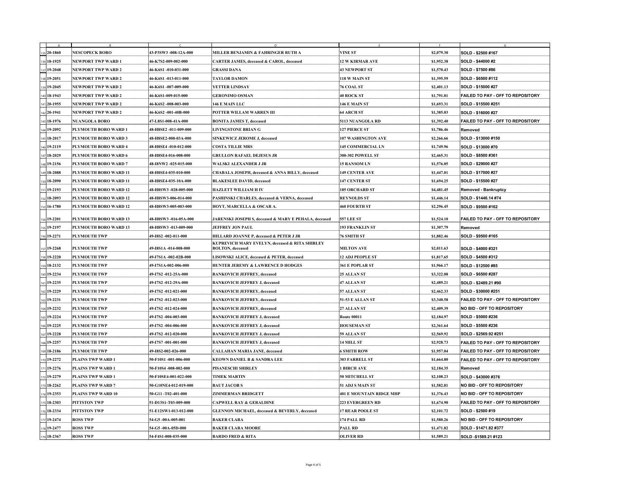|                                       |                              |                       | D.                                                                         |                           |            |                                          |
|---------------------------------------|------------------------------|-----------------------|----------------------------------------------------------------------------|---------------------------|------------|------------------------------------------|
| $135$ 20-1860                         | <b>NESCOPECK BORO</b>        | 43-P3SW3 -008-12A-000 | MILLER BENJAMIN & FAHRINGER RUTH A                                         | <b>VINE ST</b>            | \$2,079.30 | SOLD - \$2500 #167                       |
| 136 18-1925                           | <b>NEWPORT TWP WARD 1</b>    | 46-K7S2-009-002-000   | <b>CARTER JAMES, deceased &amp; CAROL, deceased</b>                        | <b>12 W KIRMAR AVE</b>    | \$1,952.38 | SOLD - \$44000 #2                        |
| 137 19-2048                           | <b>NEWPORT TWP WARD 2</b>    | 46-K6S1-010-031-000   | <b>GRASSI DANA</b>                                                         | <b>43 NEWPORT ST</b>      | \$1,570.43 | <b>SOLD - \$7500 #86</b>                 |
| 138 19 - 2051                         | <b>NEWPORT TWP WARD 2</b>    | 46-K6S1-013-011-000   | <b>TAYLOR DAMON</b>                                                        | 118 W MAIN ST             | \$1,395.59 | SOLD - \$6500 #112                       |
| 139 19-2045                           | <b>NEWPORT TWP WARD 2</b>    | 46-K6S1-007-009-000   | <b>YETTER LINDSAY</b>                                                      | <b>76 COAL ST</b>         | \$2,401.13 | SOLD - \$15000 #27                       |
| $140$ 18-1943                         | <b>NEWPORT TWP WARD 2</b>    | 46-K6S1-009-015-000   | <b>GERONIMO OSMAN</b>                                                      | 40 ROCK ST                | \$1,791.01 | <b>FAILED TO PAY - OFF TO REPOSITORY</b> |
| $141$ 20-1955                         | <b>NEWPORT TWP WARD 2</b>    | 46-K6S2 -008-003-000  | 146 E MAIN LLC                                                             | <b>146 E MAIN ST</b>      | \$1,693.31 | SOLD - \$15500 #251                      |
| $142$ 20-1941                         | <b>NEWPORT TWP WARD 2</b>    | 46-K6S2-001-40B-000   | POTTER WILLAM WARREN III                                                   | <b>64 ARCH ST</b>         | \$1,385.03 | SOLD - \$16000 #27                       |
| $1143$ 18-1976                        | <b>NUANGOLA BORO</b>         | 47-L8S1-008-41A-000   | <b>BONITA JAMES T, deceased</b>                                            | <b>5113 NUANGOLA RD</b>   | \$1,392.40 | <b>FAILED TO PAY - OFF TO REPOSITORY</b> |
| $144$ 19-2092                         | <b>PLYMOUTH BORO WARD 1</b>  | 48-H8SE2 -011-009-000 | <b>LIVINGSTONE BRIAN G</b>                                                 | <b>127 PIERCE ST</b>      | \$1,786.46 | Removed                                  |
| 145 18-2017                           | PLYMOUTH BORO WARD 3         | 48-H8SE2-008-03A-000  | <b>SINKEWICZ JEROME J, deceased</b>                                        | <b>107 WASHINGTON AVE</b> | \$2,266.66 | SOLD - \$13000 #150                      |
| 146 19-2119                           | <b>PLYMOUTH BORO WARD 4</b>  | 48-H8SE4 -010-012-000 | <b>COSTA TILLIE MRS</b>                                                    | <b>145 COMMERCIAL LN</b>  | \$1,749.96 | SOLD - \$13000 #70                       |
| $147$ 18-2029                         | <b>PLYMOUTH BORO WARD 6</b>  | 48-H8SE4-016-008-000  | <b>GRULLON RAFAEL DEJESUS JR</b>                                           | <b>300-302 POWELL ST</b>  | \$2,465.31 | SOLD - \$8500 #361                       |
| $148$ 19-2156                         | PLYMOUTH BORO WARD 7         | 48-I8NW2 -025-015-000 | WALSKI ALEXANDER J JR                                                      | <b>15 RANSOM LN</b>       | \$1,576.05 | SOLD - \$29000 #27                       |
| $149$ 18-2088                         | <b>PLYMOUTH BORO WARD 11</b> | 48-H8SE4-035-010-000  | CHABALA JOSEPH, deceased & ANNA BILLY, deceased                            | <b>149 CENTER AVE</b>     | \$1,447.01 | SOLD - \$17000 #27                       |
| 18-2090                               | PLYMOUTH BORO WARD 11        | 48-H8SE4-035-10A-000  | <b>BLAKESLEE DAVID, deceased</b>                                           | <b>147 CENTER ST</b>      | \$1,694.25 | SOLD - \$15500 #27                       |
| $151$ 19-2193                         | <b>PLYMOUTH BORO WARD 12</b> | 48-H8SW3 -028-005-000 | <b>HAZLETT WILLIAM H IV</b>                                                | <b>185 ORCHARD ST</b>     | \$4,481.45 | <b>Removed - Bankruptcy</b>              |
| 152 18 - 2093                         | <b>PLYMOUTH BORO WARD 12</b> | 48-H8SW3-006-014-000  | <b>PASHINSKI CHARLES, deceased &amp; VERNA, deceased</b>                   | <b>REYNOLDS ST</b>        | \$1,446.14 | SOLD - \$1446.14 #74                     |
| $1_{153}$ 16-1780                     | <b>PLYMOUTH BORO WARD 12</b> | 48-H8SW3-005-003-000  | HOYT, MARCELLA & OSCAR A.                                                  | <b>460 FOURTH ST</b>      | \$2,296.45 | SOLD - \$9500 #162                       |
|                                       |                              |                       |                                                                            |                           |            |                                          |
| 154 19-2201                           | PLYMOUTH BORO WARD 13        | 48-H8SW3 -016-05A-000 | <b>JARENSKI JOSEPH S, deceased &amp; MARY E PEHALA, deceased</b>           | <b>557 LEE ST</b>         | \$1,524.10 | <b>FAILED TO PAY - OFF TO REPOSITORY</b> |
| $1155$ 19-2197                        | PLYMOUTH BORO WARD 13        | 48-H8SW3 -013-009-000 | <b>JEFFREY JON PAUL</b>                                                    | <b>193 FRANKLIN ST</b>    | \$1,307.79 | Removed                                  |
| 156 19-2271                           | <b>PLYMOUTH TWP</b>          | 49-I8S2 -002-011-000  | <b>HILLARD JOANNE P, deceased &amp; PETER J JR</b>                         | <b>76 SMITH ST</b>        | \$1,882.46 | SOLD - \$9500 #165                       |
| $157$ 19-2268                         | <b>PLYMOUTH TWP</b>          | 49-I8S1A -014-008-000 | KUPREVICH MARY EVELYN, deceased & RITA SHIRLEY<br><b>BOLTON</b> , deceased | <b>MILTON AVE</b>         | \$2,011.63 | SOLD - \$4000 #321                       |
| 158 19-2220                           | <b>PLYMOUTH TWP</b>          | 49-I7S1A -002-02B-000 | LISOWSKI ALICE, deceased & PETER, deceased                                 | <b>12 ADJ PEOPLE ST</b>   | \$1,817.65 | SOLD - \$4500 #312                       |
| 159 18-2132                           | <b>PLYMOUTH TWP</b>          | 49-I7S1A-002-006-000  | <b>HUNTER JEREMY &amp; LAWRENCE D HODGES</b>                               | <b>361 E POPLAR ST</b>    | \$1,966.17 | SOLD - \$12500 #85                       |
| $1_{160}$ 19-2234                     | <b>PLYMOUTH TWP</b>          | 49-I7S2 -012-25A-000  | <b>BANKOVICH JEFFREY, deceased</b>                                         | <b>25 ALLAN ST</b>        | \$3,322.08 | SOLD - \$6500 #287                       |
| $161$ 19-2235                         | <b>PLYMOUTH TWP</b>          | 49-I7S2-012-29A-000   | <b>BANKOVICH JEFFREY J, deceased</b>                                       | 47 ALLAN ST               | \$2,489.21 | SOLD - \$2489.21 #90                     |
| 162 19-2229                           | <b>PLYMOUTH TWP</b>          | 49-I7S2 -012-021-000  | <b>BANKOVICH JEFFREY, deceased</b>                                         | 57 ALLAN ST               | \$2,462.33 | SOLD - \$30000 #251                      |
| $1_{163}$ 19-2231                     | <b>PLYMOUTH TWP</b>          | 49-I7S2 -012-023-000  | <b>BANKOVICH JEFFREY, deceased</b>                                         | <b>51-53 E ALLAN ST</b>   | \$3,340.58 | <b>FAILED TO PAY - OFF TO REPOSITORY</b> |
| $164$ 19-2232                         | <b>PLYMOUTH TWP</b>          | 49-17S2 -012-024-000  | <b>BANKOVICH JEFFREY, deceased</b>                                         | <b>27 ALLAN ST</b>        | \$2,409.39 | <b>NO BID - OFF TO REPOSITORY</b>        |
| $1_{165}$ 19-2224                     | <b>PLYMOUTH TWP</b>          | 49-I7S2 -004-003-000  | <b>BANKOVICH JEFFREY J, deceased</b>                                       | <b>Route 00011</b>        | \$2,184.97 | SOLD - \$5000 #236                       |
| 166 19-2225                           | <b>PLYMOUTH TWP</b>          | 49-I7S2 -004-006-000  | <b>BANKOVICH JEFFREY J, deceased</b>                                       | <b>HOUSEMAN ST</b>        | \$2,361.64 | <b>SOLD - \$5500 #236</b>                |
| $1_{167}$ 19-2228                     | <b>PLYMOUTH TWP</b>          | 49-I7S2 -012-020-000  | <b>BANKOVICH JEFFREY J, deceased</b>                                       | 59 ALLAN ST               | \$2,569.92 | SOLD - \$2569.92 #251                    |
| 168 19-2257                           | <b>PLYMOUTH TWP</b>          | 49-I7S7 -001-001-000  | <b>BANKOVICH JEFFREY J, deceased</b>                                       | 14 MILL ST                | \$2,928.73 | <b>FAILED TO PAY - OFF TO REPOSITORY</b> |
| 169 18 - 2186                         | <b>PLYMOUTH TWP</b>          | 49-1882-002-026-000   | <b>CALLAHAN MARIA JANE, deceased</b>                                       | <b>6 SMITH ROW</b>        | \$1,957.04 | <b>FAILED TO PAY - OFF TO REPOSITORY</b> |
| 170 19-2272                           | <b>PLAINS TWP WARD 1</b>     | 50-F10S1-001-006-000  | <b>KEOWN DANIEL B &amp; SANDRA LEE</b>                                     | <b>303 FARRELL ST</b>     | \$1,664.80 | <b>FAILED TO PAY - OFF TO REPOSITORY</b> |
| $171$ 19-2276                         | <b>PLAINS TWP WARD 1</b>     | 50-F10S4 -008-002-000 | PISANESCHI SHIRLEY                                                         | <b>1 BIRCH AVE</b>        | \$2,184.35 | Removed                                  |
| $172$ 19-2279                         | <b>PLAINS TWP WARD 1</b>     | 50-F10SE4-001-022-000 | <b>TIMEK MARTIN</b>                                                        | <b>50 MITCHELL ST</b>     | \$2,108.23 | SOLD - \$43000 #376                      |
| 173 18-2262                           | <b>PLAINS TWP WARD 7</b>     | 50-G10NE4-012-019-000 | <b>BAUT JACOB S</b>                                                        | 51 ADJ S MAIN ST          | \$1,582.81 | <b>NO BID - OFF TO REPOSITORY</b>        |
| 174 19 - 2353                         | <b>PLAINS TWP WARD 10</b>    | 50-G11 -T02-401-000   | <b>ZIMMERMAN BRIDGETT</b>                                                  | 401 E MOUNTAIN RIDGE MHP  | \$1,376.43 | <b>NO BID - OFF TO REPOSITORY</b>        |
| $175 18-2303 $                        | <b>PITTSTON TWP</b>          | 51-D13S1-T03-009-000  | <b>CAPWELL RAY &amp; GERALDINE</b>                                         | <b>223 EVERGREEN RD</b>   | \$1,674.90 | <b>FAILED TO PAY - OFF TO REPOSITORY</b> |
| 176 18-2334                           | <b>PITTSTON TWP</b>          | 51-E12SW1-013-012-000 | <b>GLENNON MICHAEL, deceased &amp; BEVERLY, deceased</b>                   | <b>17 REAR POOLE ST</b>   | \$2,101.72 | SOLD - \$2500 #19                        |
| $\left[ \frac{17}{7} \right]$ 19-2474 | <b>ROSS TWP</b>              | 54-G5 -00A-005-001    | <b>BAKER CLARA</b>                                                         | 174 PALL RD               | \$1,580.26 | <b>NO BID - OFF TO REPOSITORY</b>        |
| 1 <sub>178</sub> 19-2477              | <b>ROSS TWP</b>              | 54-G5 -00A-05D-000    | <b>BAKER CLARA MOORE</b>                                                   | <b>PALL RD</b>            | \$1,471.82 | SOLD - \$1471.82 #377                    |
| $179$ 18-2367                         | <b>ROSS TWP</b>              | 54-F4S1-008-035-000   | <b>BARDO FRED &amp; RITA</b>                                               | <b>OLIVER RD</b>          | \$1,589.21 | SOLD -\$1589.21 #123                     |

,,,,,,,,,,,,,,,,, ,,,,,,,,,,,,,,,,,,,,,,,, ----------------